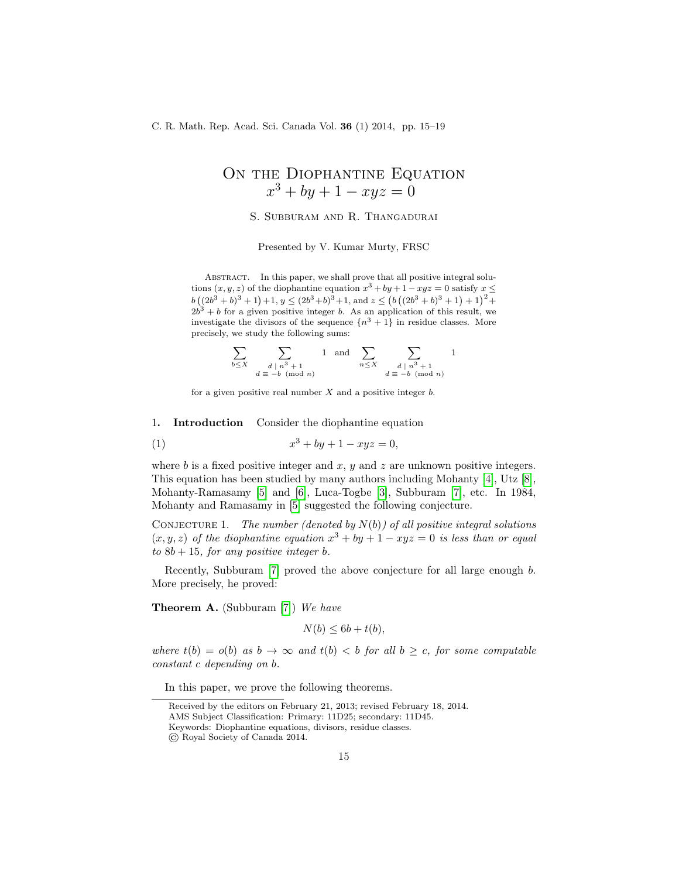## ON THE DIOPHANTINE EQUATION  $x^3 + by + 1 - xyz = 0$

S. Subburam and R. Thangadurai

Presented by V. Kumar Murty, FRSC

ABSTRACT. In this paper, we shall prove that all positive integral solutions  $(x, y, z)$  of the diophantine equation  $x^3 + by + 1 - xyz = 0$  satisfy  $x \leq$  $b((2b^3+b)^3+1)+1, y \leq (2b^3+b)^3+1,$  and  $z \leq (b((2b^3+b)^3+1)+1)^2+$  $2b^3 + b$  for a given positive integer b. As an application of this result, we investigate the divisors of the sequence  $\{n^3 + 1\}$  in residue classes. More precisely, we study the following sums:

<span id="page-0-0"></span>
$$
\sum_{b \le X} \sum_{\substack{d \mid n^3 + 1 \\ d \equiv -b \pmod{n}} 1 \text{ and } \sum_{n \le X} \sum_{\substack{d \mid n^3 + 1 \\ d \equiv -b \pmod{n}} 1
$$

for a given positive real number  $X$  and a positive integer  $b$ .

1. Introduction Consider the diophantine equation

$$
(1) \qquad \qquad x^3 + by + 1 - xyz = 0,
$$

where  $b$  is a fixed positive integer and  $x$ ,  $y$  and  $z$  are unknown positive integers. This equation has been studied by many authors including Mohanty [\[4\]](#page-4-0), Utz [\[8\]](#page-4-1), Mohanty-Ramasamy [\[5\]](#page-4-2) and [\[6\]](#page-4-3), Luca-Togbe [\[3\]](#page-4-4), Subburam [\[7\]](#page-4-5), etc. In 1984, Mohanty and Ramasamy in [\[5\]](#page-4-2) suggested the following conjecture.

CONJECTURE 1. The number (denoted by  $N(b)$ ) of all positive integral solutions  $(x, y, z)$  of the diophantine equation  $x^3 + by + 1 - xyz = 0$  is less than or equal to  $8b + 15$ , for any positive integer b.

Recently, Subburam [\[7\]](#page-4-5) proved the above conjecture for all large enough b. More precisely, he proved:

Theorem A. (Subburam [\[7\]](#page-4-5)) We have

$$
N(b) \le 6b + t(b),
$$

where  $t(b) = o(b)$  as  $b \to \infty$  and  $t(b) < b$  for all  $b \geq c$ , for some computable constant c depending on b.

In this paper, we prove the following theorems.

Received by the editors on February 21, 2013; revised February 18, 2014.

AMS Subject Classification: Primary: 11D25; secondary: 11D45.

Keywords: Diophantine equations, divisors, residue classes.

<sup>©</sup> Royal Society of Canada 2014.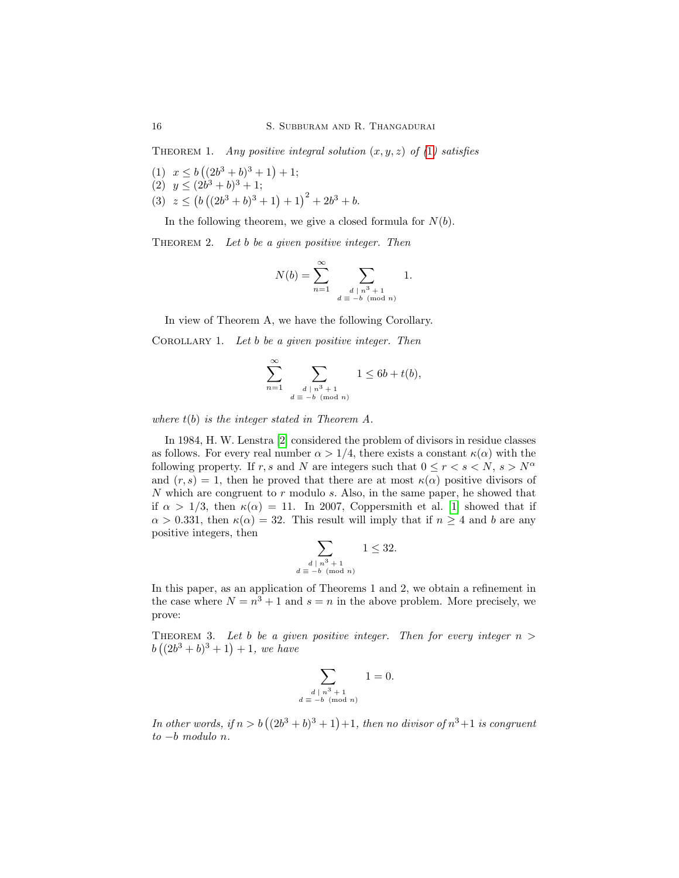THEOREM [1](#page-0-0). Any positive integral solution  $(x, y, z)$  of  $(1)$  satisfies

- (1)  $x \leq b ((2b^3 + b)^3 + 1) + 1;$
- (2)  $y \leq (2b^3 + b)^3 + 1;$
- (3)  $z \le (b ((2b^3 + b)^3 + 1) + 1)^2 + 2b^3 + b.$

In the following theorem, we give a closed formula for  $N(b)$ .

THEOREM 2. Let b be a given positive integer. Then

$$
N(b) = \sum_{n=1}^{\infty} \sum_{\substack{d \mid n^3 + 1 \\ d \equiv -b \pmod{n}}} 1.
$$

In view of Theorem A, we have the following Corollary.

COROLLARY 1. Let  $b$  be a given positive integer. Then

$$
\sum_{n=1}^{\infty} \sum_{\substack{d \mid n^3+1 \\ d \equiv -b \pmod{n}}} 1 \le 6b + t(b),
$$

where  $t(b)$  is the integer stated in Theorem A.

In 1984, H. W. Lenstra [\[2\]](#page-4-6) considered the problem of divisors in residue classes as follows. For every real number  $\alpha > 1/4$ , there exists a constant  $\kappa(\alpha)$  with the following property. If r, s and N are integers such that  $0 \le r < s < N$ ,  $s > N^{\alpha}$ and  $(r, s) = 1$ , then he proved that there are at most  $\kappa(\alpha)$  positive divisors of  $N$  which are congruent to  $r$  modulo  $s$ . Also, in the same paper, he showed that if  $\alpha > 1/3$ , then  $\kappa(\alpha) = 11$ . In 2007, Coppersmith et al. [\[1\]](#page-4-7) showed that if  $\alpha > 0.331$ , then  $\kappa(\alpha) = 32$ . This result will imply that if  $n \geq 4$  and b are any positive integers, then

$$
\sum_{\substack{d \mid n^3+1\\d \equiv -b \pmod{n}}} 1 \le 32.
$$

In this paper, as an application of Theorems 1 and 2, we obtain a refinement in the case where  $N = n^3 + 1$  and  $s = n$  in the above problem. More precisely, we prove:

THEOREM 3. Let b be a given positive integer. Then for every integer  $n >$  $b((2b^3+b)^3+1)+1$ , we have

$$
\sum_{\substack{d \mid n^3+1 \\ d \equiv -b \pmod{n}}} 1 = 0.
$$

In other words, if  $n > b ((2b^3 + b)^3 + 1) + 1$ , then no divisor of  $n^3 + 1$  is congruent to −b modulo n.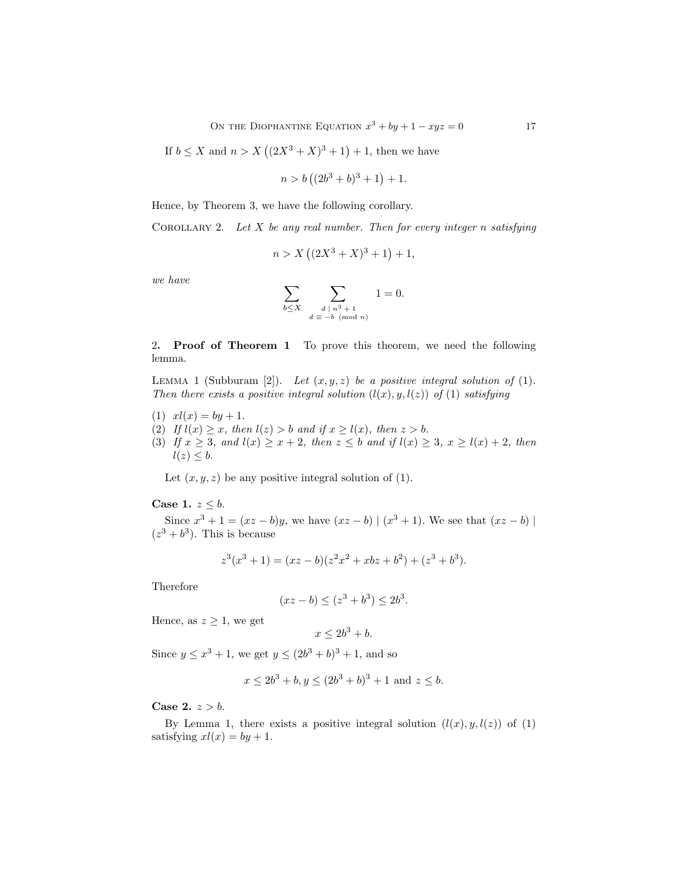ON THE DIOPHANTINE EQUATION  $x^3 + by + 1 - xyz = 0$  17

If  $b \leq X$  and  $n > X((2X^3 + X)^3 + 1) + 1$ , then we have

$$
n > b ((2b3 + b)3 + 1) + 1.
$$

Hence, by Theorem 3, we have the following corollary.

COROLLARY 2. Let X be any real number. Then for every integer n satisfying

$$
n > X ((2X3 + X)3 + 1) + 1,
$$

we have

$$
\sum_{b\leq X}\sum_{\substack{d\mid n^3+1\\d\equiv -b\pmod{n}}}\qquad 1=0.
$$

2. Proof of Theorem 1 To prove this theorem, we need the following lemma.

LEMMA 1 (Subburam [2]). Let  $(x, y, z)$  be a positive integral solution of (1). Then there exists a positive integral solution  $(l(x), y, l(z))$  of (1) satisfying

- (1)  $xl(x) = by + 1.$
- (2) If  $l(x) \geq x$ , then  $l(z) > b$  and if  $x \geq l(x)$ , then  $z > b$ .
- (3) If  $x \geq 3$ , and  $l(x) \geq x+2$ , then  $z \leq b$  and if  $l(x) \geq 3$ ,  $x \geq l(x) + 2$ , then  $l(z) \leq b$ .

Let  $(x, y, z)$  be any positive integral solution of (1).

## Case 1.  $z \leq b$ .

Since  $x^3 + 1 = (xz - b)y$ , we have  $(xz - b) | (x^3 + 1)$ . We see that  $(xz - b) |$  $(z^3 + b^3)$ . This is because

$$
z3(x3+1) = (xz - b)(z2x2 + xbz + b2) + (z3 + b3).
$$

Therefore

$$
(xz - b) \le (z^3 + b^3) \le 2b^3.
$$

Hence, as  $z \geq 1$ , we get

$$
x \le 2b^3 + b.
$$

Since  $y \le x^3 + 1$ , we get  $y \le (2b^3 + b)^3 + 1$ , and so

$$
x \le 2b^3 + b, y \le (2b^3 + b)^3 + 1
$$
 and  $z \le b$ .

Case 2.  $z > b$ .

By Lemma 1, there exists a positive integral solution  $(l(x), y, l(z))$  of (1) satisfying  $xl(x) = by + 1$ .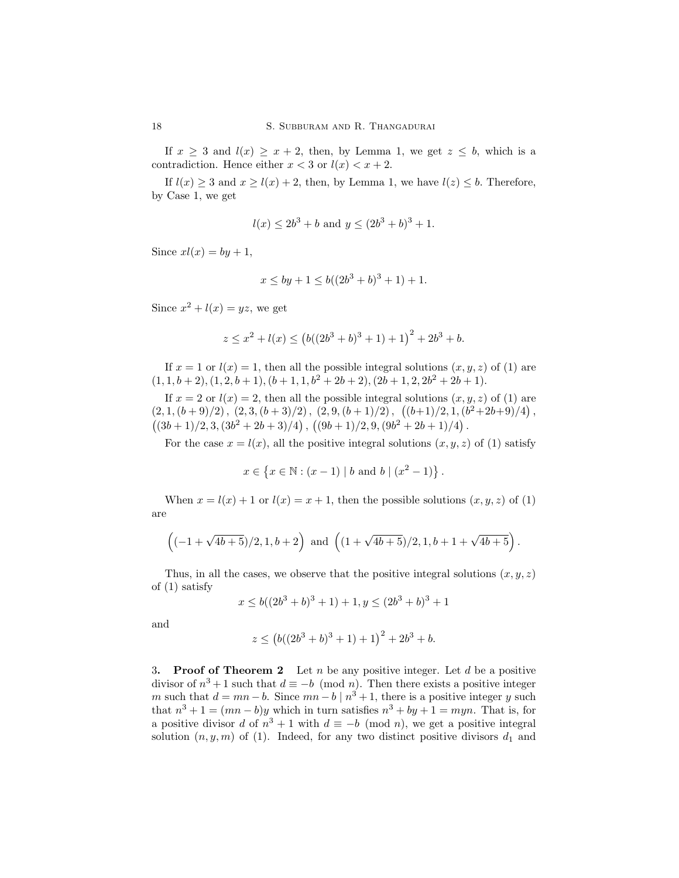If  $x \geq 3$  and  $l(x) \geq x + 2$ , then, by Lemma 1, we get  $z \leq b$ , which is a contradiction. Hence either  $x < 3$  or  $l(x) < x + 2$ .

If  $l(x) \geq 3$  and  $x \geq l(x) + 2$ , then, by Lemma 1, we have  $l(z) \leq b$ . Therefore, by Case 1, we get

$$
l(x) \le 2b^3 + b
$$
 and  $y \le (2b^3 + b)^3 + 1$ .

Since  $xl(x) = by + 1$ ,

$$
x \le by + 1 \le b((2b^3 + b)^3 + 1) + 1.
$$

Since  $x^2 + l(x) = yz$ , we get

$$
z \le x^2 + l(x) \le (b((2b^3 + b)^3 + 1) + 1)^2 + 2b^3 + b.
$$

If  $x = 1$  or  $l(x) = 1$ , then all the possible integral solutions  $(x, y, z)$  of (1) are  $(1, 1, b + 2), (1, 2, b + 1), (b + 1, 1, b<sup>2</sup> + 2b + 2), (2b + 1, 2, 2b<sup>2</sup> + 2b + 1).$ 

If  $x = 2$  or  $l(x) = 2$ , then all the possible integral solutions  $(x, y, z)$  of (1) are  $(2,1,(b+9)/2)$ ,  $(2,3,(b+3)/2)$ ,  $(2,9,(b+1)/2)$ ,  $((b+1)/2,1,(b^2+2b+9)/4)$ ,  $((3b+1)/2,3,(3b^2+2b+3)/4), ((9b+1)/2,9,(9b^2+2b+1)/4).$ 

For the case  $x = l(x)$ , all the positive integral solutions  $(x, y, z)$  of (1) satisfy

$$
x \in \{x \in \mathbb{N} : (x - 1) | b \text{ and } b | (x^2 - 1) \}.
$$

When  $x = l(x) + 1$  or  $l(x) = x + 1$ , then the possible solutions  $(x, y, z)$  of (1) are

$$
\left((-1+\sqrt{4b+5})/2,1,b+2\right)
$$
 and  $\left((1+\sqrt{4b+5})/2,1,b+1+\sqrt{4b+5}\right)$ .

Thus, in all the cases, we observe that the positive integral solutions  $(x, y, z)$ of (1) satisfy

$$
x \le b((2b^3 + b)^3 + 1) + 1, y \le (2b^3 + b)^3 + 1
$$

and

$$
z \le (b((2b^3+b)^3+1)+1)^2+2b^3+b.
$$

3. Proof of Theorem 2 Let n be any positive integer. Let d be a positive divisor of  $n^3 + 1$  such that  $d \equiv -b \pmod{n}$ . Then there exists a positive integer m such that  $d = mn - b$ . Since  $mn - b \mid n^3 + 1$ , there is a positive integer y such that  $n^3 + 1 = (mn - b)y$  which in turn satisfies  $n^3 + by + 1 = myn$ . That is, for a positive divisor d of  $n^3 + 1$  with  $d \equiv -b \pmod{n}$ , we get a positive integral solution  $(n, y, m)$  of (1). Indeed, for any two distinct positive divisors  $d_1$  and